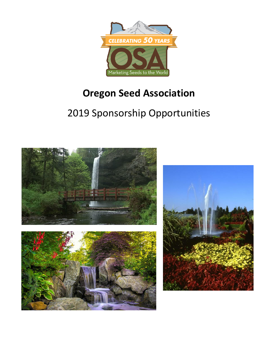

# **Oregon Seed Association**

# 2019 Sponsorship Opportunities

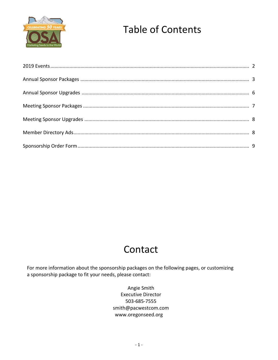

# **Table of Contents**

# Contact

For more information about the sponsorship packages on the following pages, or customizing a sponsorship package to fit your needs, please contact:

> Angie Smith **Executive Director** 503-685-7555 smith@pacwestcom.com www.oregonseed.org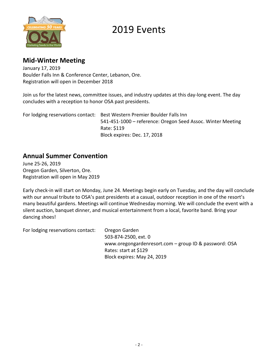

## 2019 Events

## **Mid-Winter Meeting**

January 17, 2019 Boulder Falls Inn & Conference Center, Lebanon, Ore. Registration will open in December 2018

Join us for the latest news, committee issues, and industry updates at this day-long event. The day concludes with a reception to honor OSA past presidents.

For lodging reservations contact: Best Western Premier Boulder Falls Inn 541-451-1000 – reference: Oregon Seed Assoc. Winter Meeting Rate: \$119 Block expires: Dec. 17, 2018

## **Annual Summer Convention**

June 25-26, 2019 Oregon Garden, Silverton, Ore. Registration will open in May 2019

Early check-in will start on Monday, June 24. Meetings begin early on Tuesday, and the day will conclude with our annual tribute to OSA's past presidents at a casual, outdoor reception in one of the resort's many beautiful gardens. Meetings will continue Wednesday morning. We will conclude the event with a silent auction, banquet dinner, and musical entertainment from a local, favorite band. Bring your dancing shoes!

For lodging reservations contact: Oregon Garden 503-874-2500, ext. 0 www.oregongardenresort.com – group ID & password: OSA Rates: start at \$129 Block expires: May 24, 2019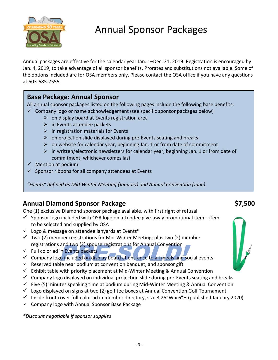

Annual packages are effective for the calendar year Jan. 1–Dec. 31, 2019. Registration is encouraged by Jan. 4, 2019, to take advantage of all sponsor benefits. Prorates and substitutions not available. Some of the options included are for OSA members only. Please contact the OSA office if you have any questions at 503-685-7555.

## **Base Package: Annual Sponsor**

All annual sponsor packages listed on the following pages include the following base benefits:  $\checkmark$  Company logo or name acknowledgement (see specific sponsor packages below)

- $\triangleright$  on display board at Events registration area
	- $\triangleright$  in Events attendee packets
	- $\triangleright$  in registration materials for Events
	- $\triangleright$  on projection slide displayed during pre-Events seating and breaks
	- $\triangleright$  on website for calendar year, beginning Jan. 1 or from date of commitment
	- $\triangleright$  in written/electronic newsletters for calendar year, beginning Jan. 1 or from date of commitment, whichever comes last
- $\checkmark$  Mention at podium
- $\checkmark$  Sponsor ribbons for all company attendees at Events

*"Events" defined as Mid-Winter Meeting (January) and Annual Convention (June).*

## **Annual Diamond Sponsor Package \$7,500**

One (1) exclusive Diamond sponsor package available, with first right of refusal

- $\checkmark$  Sponsor logo included with OSA logo on attendee give-away promotional item—item to be selected and supplied by OSA
- $\checkmark$  Logo & message on attendee lanyards at Events\*
- $\checkmark$  Two (2) member registrations for Mid-Winter Meeting; plus two (2) member registrations and two (2) spouse registrations for Annual Convention
- $\checkmark$  Full color ad in Events packets
- Tegistrations and two (2) spouse registrations for Affinian Convention<br>
✓ Full color ad in Events packets<br>
✓ Company logo included on display board at entrance to all meals and social events
- $\checkmark$  Reserved table near podium at convention banquet, and sponsor gift
- $\checkmark$  Exhibit table with priority placement at Mid-Winter Meeting & Annual Convention
- $\checkmark$  Company logo displayed on individual projection slide during pre-Events seating and breaks
- $\checkmark$  Five (5) minutes speaking time at podium during Mid-Winter Meeting & Annual Convention
- $\checkmark$  Logo displayed on signs at two (2) golf tee boxes at Annual Convention Golf Tournament
- $\checkmark$  Inside front cover full-color ad in member directory, size 3.25"W x 6"H (published January 2020)
- $\checkmark$  Company logo with Annual Sponsor Base Package

*\*Discount negotiable if sponsor supplies*

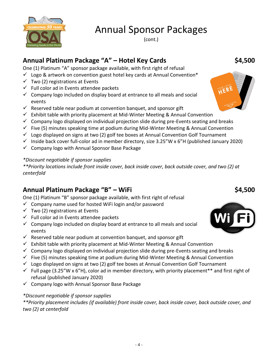

(cont.)

## **Annual Platinum Package "A" – Hotel Key Cards \$4,500**

One (1) Platinum "A" sponsor package available, with first right of refusal

- $\checkmark$  Logo & artwork on convention guest hotel key cards at Annual Convention\*
- $\checkmark$  Two (2) registrations at Events
- $\checkmark$  Full color ad in Events attendee packets
- $\checkmark$  Company logo included on display board at entrance to all meals and social events
- $\checkmark$  Reserved table near podium at convention banquet, and sponsor gift
- $\checkmark$  Exhibit table with priority placement at Mid-Winter Meeting & Annual Convention
- $\checkmark$  Company logo displayed on individual projection slide during pre-Events seating and breaks
- $\checkmark$  Five (5) minutes speaking time at podium during Mid-Winter Meeting & Annual Convention
- $\checkmark$  Logo displayed on signs at two (2) golf tee boxes at Annual Convention Golf Tournament
- $\checkmark$  Inside back cover full-color ad in member directory, size 3.25"W x 6"H (published January 2020)
- $\checkmark$  Company logo with Annual Sponsor Base Package

### *\*Discount negotiable if sponsor supplies*

*\*\*Priority locations include front inside cover, back inside cover, back outside cover, and two (2) at centerfold*

## **Annual Platinum Package "B" – WiFi**  $\frac{1}{2}$  $\frac{1}{2}$  $\frac{1}{2}$  $\frac{1}{2}$  $\frac{1}{2}$  $\frac{1}{2}$  $\frac{1}{2}$  $\frac{1}{2}$  $\frac{1}{2}$  $\frac{1}{2}$  $\frac{1}{2}$  $\frac{1}{2}$  $\frac{1}{2}$  $\frac{1}{2}$  $\frac{1}{2}$  $\frac{1}{2}$  $\frac{1}{2}$  $\frac{1}{2}$  **\frac{1}{**

One (1) Platinum "B" sponsor package available, with first right of refusal

- $\checkmark$  Company name used for hosted WiFi login and/or password
- $\checkmark$  Two (2) registrations at Events
- ✓ Full color ad in Events attendee packets
- $\checkmark$  Company logo included on display board at entrance to all meals and social events
- $\checkmark$  Reserved table near podium at convention banquet, and sponsor gift
- $\checkmark$  Exhibit table with priority placement at Mid-Winter Meeting & Annual Convention
- $\checkmark$  Company logo displayed on individual projection slide during pre-Events seating and breaks
- $\checkmark$  Five (5) minutes speaking time at podium during Mid-Winter Meeting & Annual Convention
- $\checkmark$  Logo displayed on signs at two (2) golf tee boxes at Annual Convention Golf Tournament
- $\checkmark$  Full page (3.25"W x 6"H), color ad in member directory, with priority placement\*\* and first right of refusal (published January 2020)
- ✓ Company logo with Annual Sponsor Base Package

### *\*Discount negotiable if sponsor supplies*

*\*\*Priority placement includes (if available) front inside cover, back inside cover, back outside cover, and two (2) at centerfold*



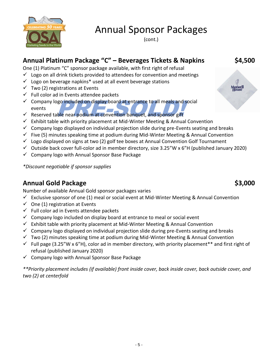

(cont.)

## **Annual Platinum Package "C" – Beverages Tickets & Napkins \$4,500**

One (1) Platinum "C" sponsor package available, with first right of refusal

- $\checkmark$  Logo on all drink tickets provided to attendees for convention and meetings
- $\checkmark$  Logo on beverage napkins<sup>\*</sup> used at all event beverage stations
- $\checkmark$  Two (2) registrations at Events
- $\checkmark$  Full color ad in Events attendee packets
- ↓ Company logo included on display board at entrance to all meals and so<br>
← Reserved table near podium at convention banquet, and sponsor gift  $\checkmark$  Company logo included on display board at entrance to all meals and social events
- 
- $\checkmark$  Exhibit table with priority placement at Mid-Winter Meeting & Annual Convention
- $\checkmark$  Company logo displayed on individual projection slide during pre-Events seating and breaks
- $\checkmark$  Five (5) minutes speaking time at podium during Mid-Winter Meeting & Annual Convention
- $\checkmark$  Logo displayed on signs at two (2) golf tee boxes at Annual Convention Golf Tournament
- $\checkmark$  Outside back cover full-color ad in member directory, size 3.25"W x 6"H (published January 2020)
- $\checkmark$  Company logo with Annual Sponsor Base Package

*\*Discount negotiable if sponsor supplies*

## **Annual Gold Package <b>\$3,000** \$3,000

Number of available Annual Gold sponsor packages varies

- $\checkmark$  Exclusive sponsor of one (1) meal or social event at Mid-Winter Meeting & Annual Convention
- $\checkmark$  One (1) registration at Events
- $\checkmark$  Full color ad in Events attendee packets
- $\checkmark$  Company logo included on display board at entrance to meal or social event
- $\checkmark$  Exhibit table with priority placement at Mid-Winter Meeting & Annual Convention
- $\checkmark$  Company logo displayed on individual projection slide during pre-Events seating and breaks
- $\checkmark$  Two (2) minutes speaking time at podium during Mid-Winter Meeting & Annual Convention
- $\checkmark$  Full page (3.25"W x 6"H), color ad in member directory, with priority placement\*\* and first right of refusal (published January 2020)
- $\checkmark$  Company logo with Annual Sponsor Base Package

*\*\*Priority placement includes (if available) front inside cover, back inside cover, back outside cover, and two (2) at centerfold*

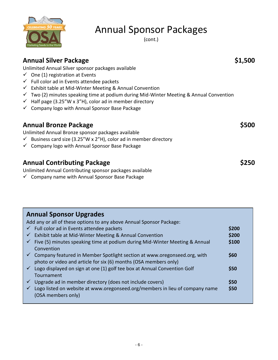

(cont.)

| <b>Annual Silver Package</b><br>Unlimited Annual Silver sponsor packages available<br>$\checkmark$ One (1) registration at Events<br>$\checkmark$ Full color ad in Events attendee packets<br>$\checkmark$ Exhibit table at Mid-Winter Meeting & Annual Convention<br>$\checkmark$ Two (2) minutes speaking time at podium during Mid-Winter Meeting & Annual Convention<br>$\checkmark$ Half page (3.25"W x 3"H), color ad in member directory<br>$\checkmark$ Company logo with Annual Sponsor Base Package | \$1,500     |
|---------------------------------------------------------------------------------------------------------------------------------------------------------------------------------------------------------------------------------------------------------------------------------------------------------------------------------------------------------------------------------------------------------------------------------------------------------------------------------------------------------------|-------------|
| <b>Annual Bronze Package</b><br>Unlimited Annual Bronze sponsor packages available<br>$\checkmark$ Business card size (3.25"W x 2"H), color ad in member directory<br>✓ Company logo with Annual Sponsor Base Package                                                                                                                                                                                                                                                                                         | <b>S500</b> |
| <b>Annual Contributing Package</b><br>Unlimited Annual Contributing sponsor packages available                                                                                                                                                                                                                                                                                                                                                                                                                |             |

 $\checkmark$  Company name with Annual Sponsor Base Package

### **Annual Sponsor Upgrades** Add any or all of these options to any above Annual Sponsor Package: ✓ Full color ad in Events attendee packets **\$200** ✓ Exhibit table at Mid-Winter Meeting & Annual Convention **\$200** ✓ Five (5) minutes speaking time at podium during Mid-Winter Meeting & Annual **\$100** Convention ✓ Company featured in Member Spotlight section at www.oregonseed.org, with **\$60** photo or video and article for six (6) months (OSA members only) ✓ Logo displayed on sign at one (1) golf tee box at Annual Convention Golf **\$50 Tournament** ✓ Upgrade ad in member directory (does not include covers) **\$50** ✓ Logo listed on website at www.oregonseed.org/members in lieu of company name **\$50** (OSA members only)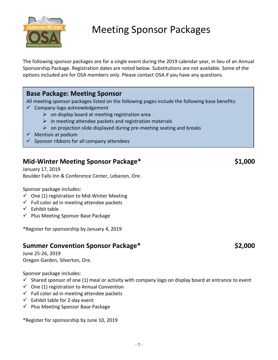

# Meeting Sponsor Packages

The following sponsor packages are for a single event during the 2019 calendar year, in lieu of an Annual Sponsorship Package. Registration dates are noted below. Substitutions are not available. Some of the options included are for OSA members only. Please contact OSA if you have any questions.

## **Base Package: Meeting Sponsor**

All meeting sponsor packages listed on the following pages include the following base benefits:

- $\checkmark$  Company logo acknowledgement
	- $\triangleright$  on display board at meeting registration area
	- $\triangleright$  in meeting attendee packets and registration materials
	- $\triangleright$  on projection slide displayed during pre-meeting seating and breaks
- ✓ Mention at podium
- $\checkmark$  Sponsor ribbons for all company attendees

## **Mid-Winter Meeting Sponsor Package\* \$1,000**

January 17, 2019 Boulder Falls Inn & Conference Center, Lebanon, Ore.

Sponsor package includes:

- $\checkmark$  One (1) registration to Mid-Winter Meeting
- $\checkmark$  Full color ad in meeting attendee packets
- $\checkmark$  Exhibit table
- ✓ Plus Meeting Sponsor Base Package

\*Register for sponsorship by January 4, 2019

## **Summer Convention Sponsor Package\* \$2,000**

June 25-26, 2019 Oregon Garden, Silverton, Ore.

Sponsor package includes:

- $\checkmark$  Shared sponsor of one (1) meal or activity with company logo on display board at entrance to event
- $\checkmark$  One (1) registration to Annual Convention
- $\checkmark$  Full color ad in meeting attendee packets
- $\checkmark$  Exhibit table for 2-day event
- ✓ Plus Meeting Sponsor Base Package

\*Register for sponsorship by June 10, 2019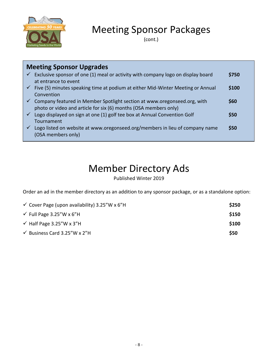

## Meeting Sponsor Packages

(cont.)

| <b>Meeting Sponsor Upgrades</b> |                                                                                              |       |
|---------------------------------|----------------------------------------------------------------------------------------------|-------|
| $\checkmark$                    | Exclusive sponsor of one (1) meal or activity with company logo on display board             | \$750 |
|                                 | at entrance to event                                                                         |       |
|                                 | $\checkmark$ Five (5) minutes speaking time at podium at either Mid-Winter Meeting or Annual | \$100 |
|                                 | Convention                                                                                   |       |
|                                 | $\checkmark$ Company featured in Member Spotlight section at www.oregonseed.org, with        | \$60  |
|                                 | photo or video and article for six (6) months (OSA members only)                             |       |
|                                 | Logo displayed on sign at one (1) golf tee box at Annual Convention Golf                     | \$50  |
|                                 | Tournament                                                                                   |       |
|                                 | Logo listed on website at www.oregonseed.org/members in lieu of company name                 | \$50  |
|                                 | (OSA members only)                                                                           |       |
|                                 |                                                                                              |       |

# Member Directory Ads

Published Winter 2019

Order an ad in the member directory as an addition to any sponsor package, or as a standalone option:

| $\checkmark$ Cover Page (upon availability) 3.25"W x 6"H | \$250 |
|----------------------------------------------------------|-------|
| $\checkmark$ Full Page 3.25"W x 6"H                      | \$150 |
| $\checkmark$ Half Page 3.25"W x 3"H                      | \$100 |
| ← Business Card 3.25"W x 2"H                             | \$50  |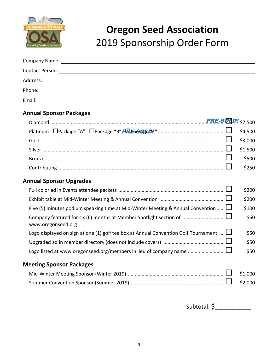

# **Oregon Seed Association** 2019 Sponsorship Order Form

| Company Name:<br><u> 1980 - Jan Stein Stein, Amerikaansk politiker (</u>    |  |  |
|-----------------------------------------------------------------------------|--|--|
| <b>Contact Person:</b>                                                      |  |  |
| Address:<br><u> 1989 - John Stein, Amerikaansk konstantinopler († 1989)</u> |  |  |
|                                                                             |  |  |
| Email:                                                                      |  |  |

### **Annual Sponsor Packages**

|                                                                                     | \$4,500 |
|-------------------------------------------------------------------------------------|---------|
|                                                                                     | \$3,000 |
|                                                                                     | \$1,500 |
|                                                                                     | \$500   |
|                                                                                     | \$250   |
| <b>Annual Sponsor Upgrades</b>                                                      |         |
|                                                                                     | \$200   |
|                                                                                     | \$200   |
| Five (5) minutes podium speaking time at Mid-Winter Meeting & Annual Convention     | \$100   |
| www.oregonseed.org                                                                  | \$60    |
| Logo displayed on sign at one (1) golf tee box at Annual Convention Golf Tournament | \$50    |
|                                                                                     | \$50    |

### **Meeting Sponsor Packages**

Logo listed a[t www.oregonseed.org/members](http://www.oregonseed.org/members) in lieu of company name ........................... \$50

Subtotal: \$\_\_\_\_\_\_\_\_\_\_